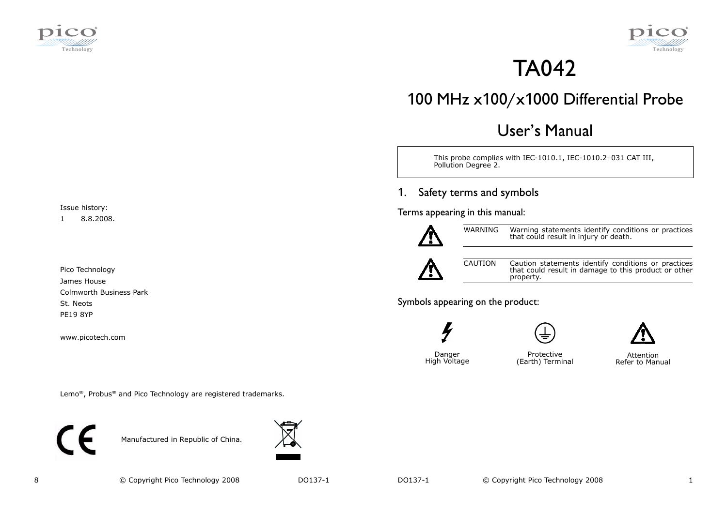



# TA042

# 100 MHz x100/x1000 Differential Probe

# User's Manual

This probe complies with IEC-1010.1, IEC-1010.2–031 CAT III, Pollution Degree 2.

#### 1.Safety terms and symbols

Terms appearing in this manual:



WARNING Warning statements identify conditions or practices that could result in injury or death.



CAUTION Caution statements identify conditions or practices that could result in damage to this product or other property.

Symbols appearing on the product:





High Voltage

Protective (Earth) Terminal Attention

Danger





Lemo®, Probus® and Pico Technology are registered trademarks.



Pico TechnologyJames House

Issue history:1 8.8.2008.

www.picotech.com

St. Neots PE19 8YP

Colmworth Business Park

Manufactured in Republic of China.

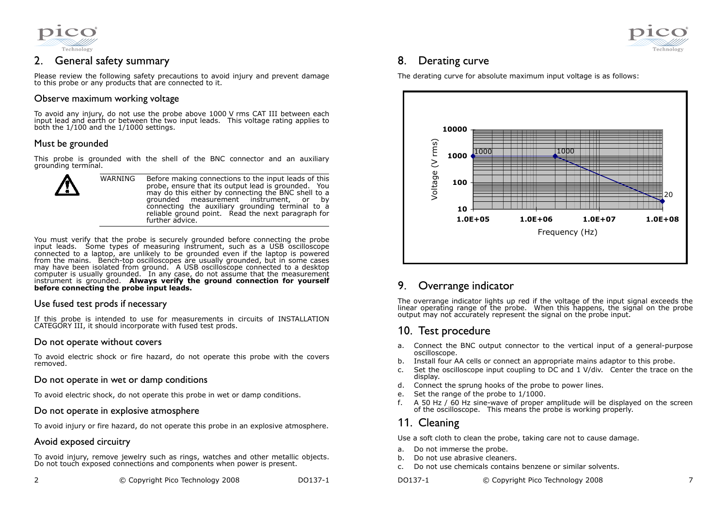

# 2. General safety summary

Please review the following safety precautions to avoid injury and prevent damage to this probe or any products that are connected to it.

## Observe maximum working voltage

To avoid any injury, do not use the probe above 1000 V rms CAT III between each input lead and earth or between the two input leads. This voltage rating applies to both the 1/100 and the 1/1000 settings.

## Must be grounded

This probe is grounded with the shell of the BNC connector and an auxiliary grounding terminal.



WARNING Before making connections to the input leads of this probe, ensure that its output lead is grounded. You may do this either by connecting the BNC shell to a grounded measurement instrument, or by connecting the auxiliary grounding terminal to a reliable ground point. Read the next paragraph for further advice.

You must verify that the probe is securely grounded before connecting the probe input leads. Some types of measuring instrument, such as a USB oscilloscope connected to a laptop, are unlikely to be grounded even if the laptop is powered from the mains. Bench-top oscilloscopes are usually grounded, but in some cases may have been isolated from ground. A USB oscilloscope connected to a desktop computer is usually grounded. In any case, do not assume that the measurement instrument is grounded. **Always verify the ground connection for yourself** before connecting the probe input leads.

### Use fused test prods if necessary

If this probe is intended to use for measurements in circuits of INSTALLATION CATEGORY III, it should incorporate with fused test prods.

### Do not operate without covers

To avoid electric shock or fire hazard, do not operate this probe with the covers removed.

### Do not operate in wet or damp conditions

To avoid electric shock, do not operate this probe in wet or damp conditions.

### Do not operate in explosive atmosphere

To avoid injury or fire hazard, do not operate this probe in an explosive atmosphere.

### Avoid exposed circuitry

To avoid injury, remove jewelry such as rings, watches and other metallic objects. Do not touch exposed connections and components when power is present.

| © Copyright Pico Technology 2008 |  | DO137-1 |
|----------------------------------|--|---------|
|                                  |  |         |



# 8. Derating curve

The derating curve for absolute maximum input voltage is as follows:



### 9.Overrange indicator

The overrange indicator lights up red if the voltage of the input signal exceeds the linear operating range of the probe. When this happens, the signal on the probe output may not accurately represent the signal on the probe input.

# 10. Test procedure

- a. Connect the BNC output connector to the vertical input of a general-purpose oscilloscope.
- Install four AA cells or connect an appropriate mains adaptor to this probe. b.
- c. Set the oscilloscope input coupling to DC and 1 V/div. Center the trace on the display.
- d. Connect the sprung hooks of the probe to power lines.
- e.Set the range of the probe to 1/1000.
- f. A 50 Hz / 60 Hz sine-wave of proper amplitude will be displayed on the screen of the oscilloscope. This means the probe is working properly.

# 11. Cleaning

Use a soft cloth to clean the probe, taking care not to cause damage.

- a.Do not immerse the probe.
- b.Do not use abrasive cleaners.
- c.Do not use chemicals contains benzene or similar solvents.
- DO137-1 © Copyright Pico Technology 2008 7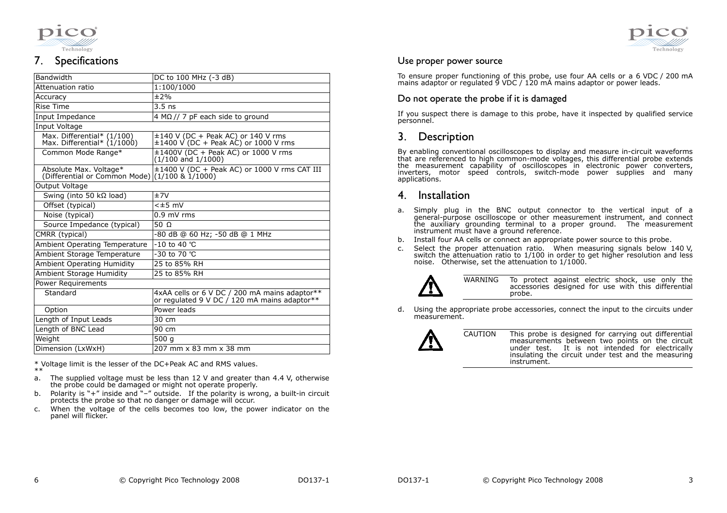



#### 7.Specifications

| Bandwidth                                                   | DC to 100 MHz (-3 dB)                                                                         |  |  |  |
|-------------------------------------------------------------|-----------------------------------------------------------------------------------------------|--|--|--|
| Attenuation ratio                                           | 1:100/1000                                                                                    |  |  |  |
| Accuracy                                                    | ±2%                                                                                           |  |  |  |
| <b>Rise Time</b>                                            | $3.5$ ns                                                                                      |  |  |  |
| Input Impedance                                             | 4 M $\Omega$ // 7 pF each side to ground                                                      |  |  |  |
| Input Voltage                                               |                                                                                               |  |  |  |
| Max. Differential* (1/100)<br>Max. Differential* $(1/1000)$ | $\pm 140$ V (DC + Peak AC) or 140 V rms<br>±1400 V (DC + Peak AC) or 1000 V rms               |  |  |  |
| Common Mode Range*                                          | $\pm 1400V$ (DC + Peak AC) or 1000 V rms<br>$(1/100 \text{ and } 1/1000)$                     |  |  |  |
| Absolute Max. Voltage*<br>(Differential or Common Mode)     | ±1400 V (DC + Peak AC) or 1000 V rms CAT III<br>$(1/100 \& 1/1000)$                           |  |  |  |
| Output Voltage                                              |                                                                                               |  |  |  |
| Swing (into 50 k $\Omega$ load)                             | ±7V                                                                                           |  |  |  |
| Offset (typical)                                            | $<\pm 5$ mV                                                                                   |  |  |  |
| Noise (typical)                                             | $0.9$ mV rms                                                                                  |  |  |  |
| Source Impedance (typical)                                  | 50 $\Omega$                                                                                   |  |  |  |
| CMRR (typical)                                              | -80 dB @ 60 Hz; -50 dB @ 1 MHz                                                                |  |  |  |
| <b>Ambient Operating Temperature</b>                        | $-10$ to 40 °C                                                                                |  |  |  |
| Ambient Storage Temperature                                 | -30 to 70 °C                                                                                  |  |  |  |
| <b>Ambient Operating Humidity</b>                           | 25 to 85% RH                                                                                  |  |  |  |
| Ambient Storage Humidity                                    | 25 to 85% RH                                                                                  |  |  |  |
| <b>Power Requirements</b>                                   |                                                                                               |  |  |  |
| Standard                                                    | 4xAA cells or 6 V DC / 200 mA mains adaptor**<br>or regulated 9 V DC / 120 mA mains adaptor** |  |  |  |
| Option                                                      | Power leads                                                                                   |  |  |  |
| Length of Input Leads                                       | 30 cm                                                                                         |  |  |  |
| Length of BNC Lead                                          | 90 cm                                                                                         |  |  |  |
| Weight                                                      | 500 g                                                                                         |  |  |  |
| Dimension (LxWxH)                                           | 207 mm x 83 mm x 38 mm                                                                        |  |  |  |

\* Voltage limit is the lesser of the DC+Peak AC and RMS values. \*\*

- a. The supplied voltage must be less than 12 V and greater than 4.4 V, otherwise the probe could be damaged or might not operate properly.
- Polarity is "+" inside and "–" outside. If the polarity is wrong, a built-in circuit b.protects the probe so that no danger or damage will occur.
- When the voltage of the cells becomes too low, the power indicator on the c.panel will flicker.

## Use proper power source

To ensure proper functioning of this probe, use four AA cells or a 6 VDC / 200 mA mains adaptor or regulated 9 VDC / 120 mA mains adaptor or power leads.

# Do not operate the probe if it is damaged

If you suspect there is damage to this probe, have it inspected by qualified service personnel.

#### 3.**Description**

By enabling conventional oscilloscopes to display and measure in-circuit waveforms that are referenced to high common-mode voltages, this differential probe extends the measurement capability of oscilloscopes in electronic power converters, inverters, motor speed controls, switch-mode power supplies and many applications.

#### 4.Installation

- a. Simply plug in the BNC output connector to the vertical input of a general-purpose oscilloscope or other measurement instrument, and connect the auxiliary grounding terminal to a proper ground. The measurement instrument must have a ground reference.
- b. Install four AA cells or connect an appropriate power source to this probe.
- c. Select the proper attenuation ratio. When measuring signals below 140 V, switch the attenuation ratio to 1/100 in order to get higher resolution and less noise. Otherwise, set the attenuation to 1/1000.



WARNING To protect against electric shock, use only the accessories designed for use with this differential probe.

d. Using the appropriate probe accessories, connect the input to the circuits under measurement.



CAUTION This probe is designed for carrying out differential measurements between two points on the circuit under test. It is not intended for electrically insulating the circuit under test and the measuringinstrument.